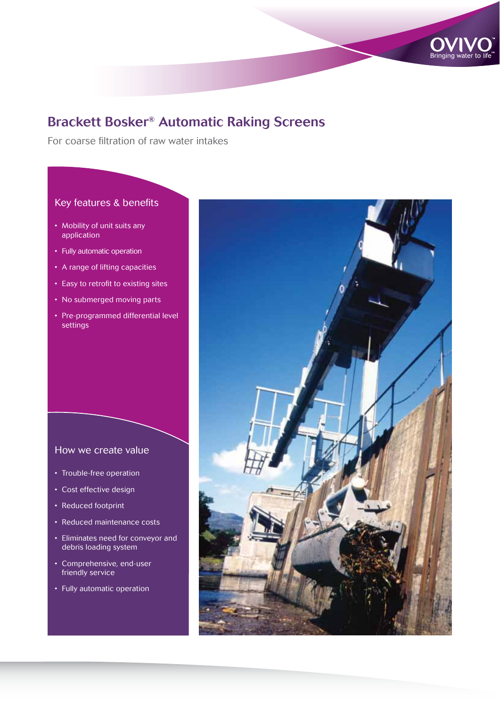

For coarse filtration of raw water intakes

## Key features & benefits

- Mobility of unit suits any application
- Fully automatic operation
- A range of lifting capacities
- Easy to retrofit to existing sites
- No submerged moving parts
- Pre-programmed differential level settings

## How we create value

- Trouble-free operation
- Cost effective design
- Reduced footprint
- • Reduced maintenance costs
- • Eliminates need for conveyor and debris loading system
- • Comprehensive, end-user friendly service
- • Fully automatic operation

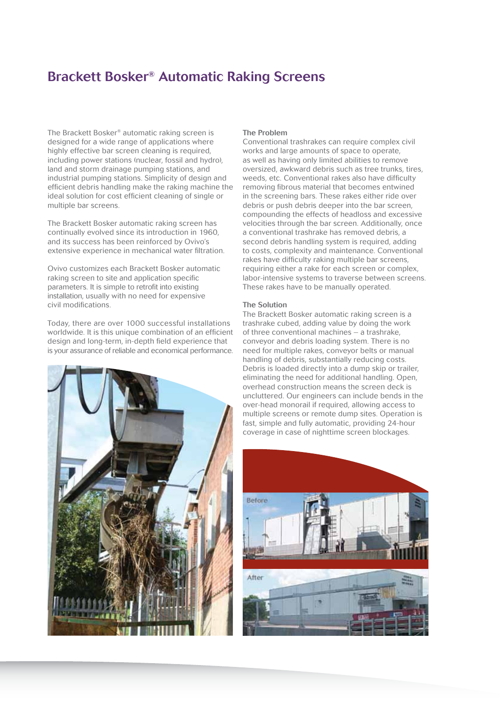The Brackett Bosker® automatic raking screen is designed for a wide range of applications where highly effective bar screen cleaning is required, including power stations (nuclear, fossil and hydro), land and storm drainage pumping stations, and industrial pumping stations. Simplicity of design and efficient debris handling make the raking machine the ideal solution for cost efficient cleaning of single or multiple bar screens.

The Brackett Bosker automatic raking screen has continually evolved since its introduction in 1960, and its success has been reinforced by Ovivo's extensive experience in mechanical water filtration.

Ovivo customizes each Brackett Bosker automatic raking screen to site and application specific parameters. It is simple to retrofit into existing installation, usually with no need for expensive civil modifications.

Today, there are over 1000 successful installations worldwide. It is this unique combination of an efficient design and long-term, in-depth field experience that is your assurance of reliable and economical performance.



#### The Problem

Conventional trashrakes can require complex civil works and large amounts of space to operate, as well as having only limited abilities to remove oversized, awkward debris such as tree trunks, tires, weeds, etc. Conventional rakes also have difficulty removing fibrous material that becomes entwined in the screening bars. These rakes either ride over debris or push debris deeper into the bar screen. compounding the effects of headloss and excessive velocities through the bar screen. Additionally, once a conventional trashrake has removed debris, a second debris handling system is required, adding to costs, complexity and maintenance. Conventional rakes have difficulty raking multiple bar screens, requiring either a rake for each screen or complex, labor-intensive systems to traverse between screens. These rakes have to be manually operated.

#### The Solution

The Brackett Bosker automatic raking screen is a trashrake cubed, adding value by doing the work of three conventional machines – a trashrake, conveyor and debris loading system. There is no need for multiple rakes, conveyor belts or manual handling of debris, substantially reducing costs. Debris is loaded directly into a dump skip or trailer, eliminating the need for additional handling. Open, overhead construction means the screen deck is uncluttered. Our engineers can include bends in the over-head monorail if required, allowing access to multiple screens or remote dump sites. Operation is fast, simple and fully automatic, providing 24-hour coverage in case of nighttime screen blockages.

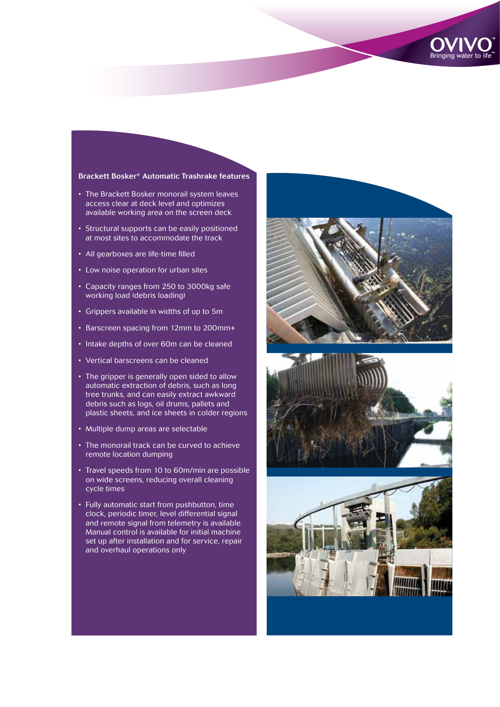

#### Brackett Bosker® Automatic Trashrake features

- The Brackett Bosker monorail system leaves access clear at deck level and optimizes available working area on the screen deck
- Structural supports can be easily positioned at most sites to accommodate the track
- All gearboxes are life-time filled
- Low noise operation for urban sites
- Capacity ranges from 250 to 3000kg safe working load (debris loading)
- • Grippers available in widths of up to 5m
- Barscreen spacing from 12mm to 200mm+
- Intake depths of over 60m can be cleaned
- • Vertical barscreens can be cleaned
- The gripper is generally open sided to allow automatic extraction of debris, such as long tree trunks, and can easily extract awkward debris such as logs, oil drums, pallets and plastic sheets, and ice sheets in colder regions
- Multiple dump areas are selectable
- The monorail track can be curved to achieve remote location dumping
- Travel speeds from 10 to 60m/min are possible on wide screens, reducing overall cleaning cycle times
- • Fully automatic start from pushbutton, time clock, periodic timer, level differential signal and remote signal from telemetry is available. Manual control is available for initial machine set up after installation and for service, repair and overhaul operations only





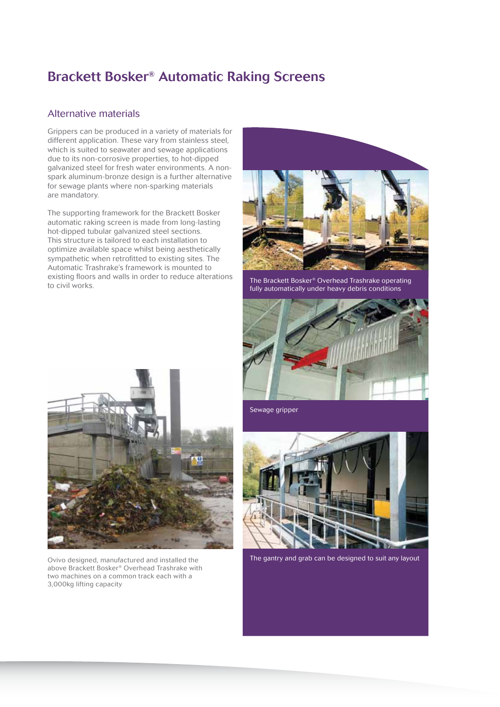## Alternative materials

Grippers can be produced in a variety of materials for different application. These vary from stainless steel, which is suited to seawater and sewage applications due to its non-corrosive properties, to hot-dipped galvanized steel for fresh water environments. A nonspark aluminum-bronze design is a further alternative for sewage plants where non-sparking materials are mandatory.

The supporting framework for the Brackett Bosker automatic raking screen is made from long-lasting hot-dipped tubular galvanized steel sections. This structure is tailored to each installation to optimize available space whilst being aesthetically sympathetic when retrofitted to existing sites. The Automatic Trashrake's framework is mounted to existing floors and walls in order to reduce alterations to civil works.



The Brackett Bosker® Overhead Trashrake operating fully automatically under heavy debris conditions





Ovivo designed, manufactured and installed the above Brackett Bosker® Overhead Trashrake with two machines on a common track each with a 3,000kg lifting capacity

Sewage gripper



The gantry and grab can be designed to suit any layout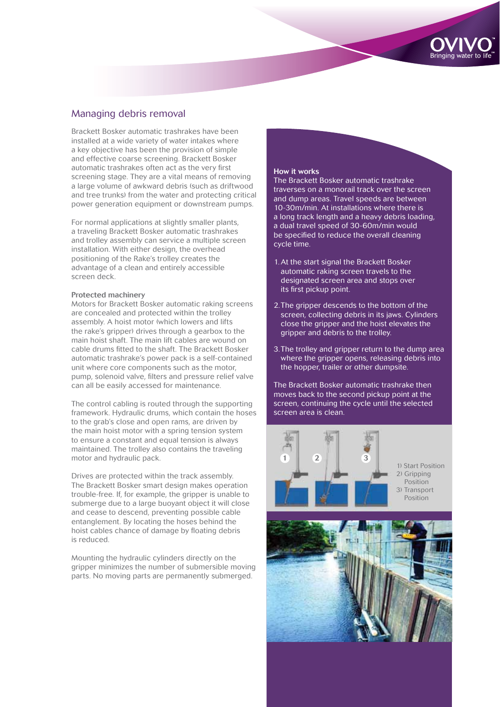

## Managing debris removal

Brackett Bosker automatic trashrakes have been installed at a wide variety of water intakes where a key objective has been the provision of simple and effective coarse screening. Brackett Bosker automatic trashrakes often act as the very first screening stage. They are a vital means of removing a large volume of awkward debris (such as driftwood and tree trunks) from the water and protecting critical power generation equipment or downstream pumps.

For normal applications at slightly smaller plants, a traveling Brackett Bosker automatic trashrakes and trolley assembly can service a multiple screen installation. With either design, the overhead positioning of the Rake's trolley creates the advantage of a clean and entirely accessible screen deck.

#### Protected machinery

Motors for Brackett Bosker automatic raking screens are concealed and protected within the trolley assembly. A hoist motor (which lowers and lifts the rake's gripper) drives through a gearbox to the main hoist shaft. The main lift cables are wound on cable drums fitted to the shaft. The Brackett Bosker automatic trashrake's power pack is a self-contained unit where core components such as the motor, pump, solenoid valve, filters and pressure relief valve can all be easily accessed for maintenance.

The control cabling is routed through the supporting framework. Hydraulic drums, which contain the hoses to the grab's close and open rams, are driven by the main hoist motor with a spring tension system to ensure a constant and equal tension is always maintained. The trolley also contains the traveling motor and hydraulic pack.

Drives are protected within the track assembly. The Brackett Bosker smart design makes operation trouble-free. If, for example, the gripper is unable to submerge due to a large buoyant object it will close and cease to descend, preventing possible cable entanglement. By locating the hoses behind the hoist cables chance of damage by floating debris is reduced.

Mounting the hydraulic cylinders directly on the gripper minimizes the number of submersible moving parts. No moving parts are permanently submerged.

#### How it works

The Brackett Bosker automatic trashrake traverses on a monorail track over the screen and dump areas. Travel speeds are between 10-30m/min. At installations where there is a long track length and a heavy debris loading, a dual travel speed of 30-60m/min would be specified to reduce the overall cleaning cycle time.

- 1. At the start signal the Brackett Bosker automatic raking screen travels to the designated screen area and stops over its first pickup point.
- 2. The gripper descends to the bottom of the screen, collecting debris in its jaws. Cylinders close the gripper and the hoist elevates the gripper and debris to the trolley.
- 3. The trolley and gripper return to the dump area where the gripper opens, releasing debris into the hopper, trailer or other dumpsite.

The Brackett Bosker automatic trashrake then moves back to the second pickup point at the screen, continuing the cycle until the selected screen area is clean.



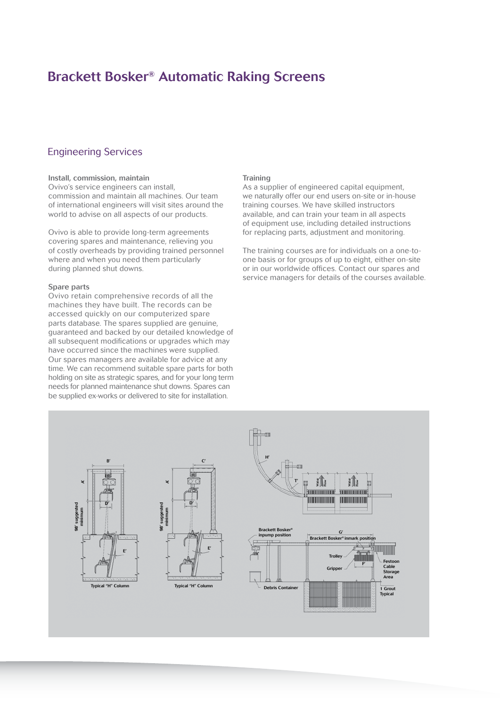## Engineering Services

#### Install, commission, maintain

Ovivo's service engineers can install, commission and maintain all machines. Our team of international engineers will visit sites around the world to advise on all aspects of our products.

Ovivo is able to provide long-term agreements covering spares and maintenance, relieving you of costly overheads by providing trained personnel where and when you need them particularly during planned shut downs.

#### Spare parts

Ovivo retain comprehensive records of all the machines they have built. The records can be accessed quickly on our computerized spare parts database. The spares supplied are genuine, guaranteed and backed by our detailed knowledge of all subsequent modifications or upgrades which may have occurred since the machines were supplied. Our spares managers are available for advice at any time. We can recommend suitable spare parts for both holding on site as strategic spares, and for your long term needs for planned maintenance shut downs. Spares can be supplied ex-works or delivered to site for installation.

#### **Training**

As a supplier of engineered capital equipment, we naturally offer our end users on-site or in-house training courses. We have skilled instructors available, and can train your team in all aspects of equipment use, including detailed instructions for replacing parts, adjustment and monitoring.

The training courses are for individuals on a one-toone basis or for groups of up to eight, either on-site or in our worldwide offices. Contact our spares and service managers for details of the courses available.

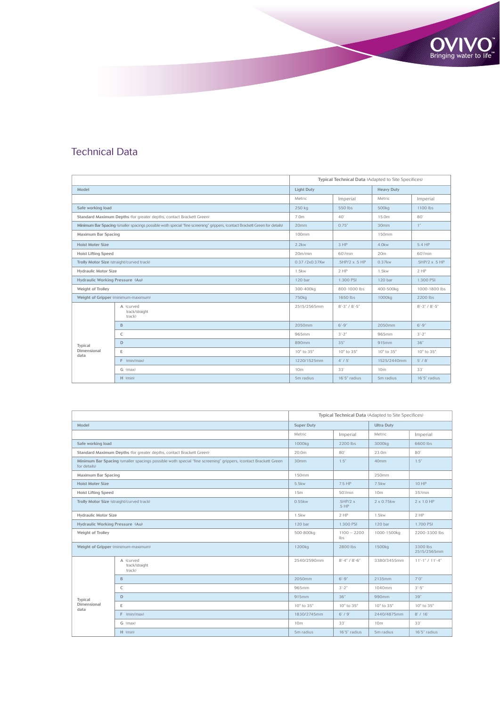## Technical Data

|                                                                                                                             |                                       | Typical Technical Data (Adapted to Site Specifices) |                         |                   |                         |
|-----------------------------------------------------------------------------------------------------------------------------|---------------------------------------|-----------------------------------------------------|-------------------------|-------------------|-------------------------|
| Model                                                                                                                       |                                       | <b>Light Duty</b>                                   |                         | <b>Heavy Duty</b> |                         |
|                                                                                                                             |                                       | Metric                                              | Imperial                | Metric            | Imperial                |
| Safe working load                                                                                                           |                                       | 250 kg                                              | 550 lbs                 | 500kg             | 1100 lbs                |
| Standard Maximum Depths (for greater depths, contact Brackett Green)                                                        |                                       | 7.0m                                                | 40'                     | 15.0m             | 80                      |
| Minimum Bar Spacing (smaller spacings possible woth special "fine screening" grippers, (contact Brackett Green for details) |                                       | 20mm                                                | 0.75''                  | 30mm              | 1''                     |
| Maximum Bar Spacing                                                                                                         |                                       | 100mm                                               |                         | 150mm             |                         |
| <b>Hoist Moter Size</b>                                                                                                     |                                       | $2.2$ kw                                            | 3 HP                    | 4.0kw             | 5.4 HP                  |
| <b>Hoist Lifting Speed</b>                                                                                                  |                                       | 20m/min                                             | 60'/min                 | 20 <sub>m</sub>   | 60'/min                 |
| Trolly Motor Size (straight/curved track)                                                                                   |                                       | 0.37 /2x0.37Kw                                      | .5HP/2 x .5 HP          | 0.37kw            | .5HP/2 x .5 HP          |
| <b>Hydraulic Motor Size</b>                                                                                                 |                                       | $1.5$ kw                                            | 2HP                     | 1.5kw             | 2HP                     |
| Hydraulic Working Pressure (Au)                                                                                             |                                       | 120 bar                                             | 1.300 PSI               | 120 bar           | 1.300 PSI               |
| Weight of Trolley                                                                                                           |                                       | 300-400kg                                           | 800-1000 lbs            | 400-500kg         | 1000-1800 lbs           |
| Weight of Gripper (minimum-maximum)                                                                                         |                                       | 750 <sub>kg</sub>                                   | 1650 lbs                | 1000kg            | 2200 lbs                |
| Typical<br>Dimensional<br>data                                                                                              | A (curved<br>track/straight<br>track) | 2515/2565mm                                         | $8' - 3''$ / $8' - 5''$ |                   | $8' - 3''$ / $8' - 5''$ |
|                                                                                                                             | B                                     | 2050mm                                              | $6' - 9''$              | 2050mm            | $6' - 9''$              |
|                                                                                                                             | C                                     | 965mm                                               | $3'-2''$                | 965mm             | $3'-2''$                |
|                                                                                                                             | D                                     | 890mm                                               | 35''                    | 915mm             | 36"                     |
|                                                                                                                             | E                                     | 10° to 35°                                          | 10° to 35°              | 10° to 35°        | 10° to 35°              |
|                                                                                                                             | $F$ (min/max)                         | 1220/1525mm                                         | 4' / 5'                 | 1525/2440mm       | $5'$ / $8'$             |
|                                                                                                                             | G (max)                               | 10 <sub>m</sub>                                     | 33'                     | 10 <sub>m</sub>   | 33'                     |
|                                                                                                                             | $H$ (min)                             | 5m radius                                           | 16'5" radius            | 5m radius         | 16'5" radius            |

Bringing water to life

|                                                                                                                                |                                       | Typical Technical Data (Adapted to Site Specifices) |                       |                    |                         |
|--------------------------------------------------------------------------------------------------------------------------------|---------------------------------------|-----------------------------------------------------|-----------------------|--------------------|-------------------------|
| Model                                                                                                                          |                                       | <b>Super Duty</b>                                   |                       | <b>Ultra Duty</b>  |                         |
|                                                                                                                                |                                       | Metric                                              | Imperial              | Metric             | Imperial                |
| Safe working load                                                                                                              |                                       | 1000kg                                              | 2200 lbs              | 3000kg             | 6600 lbs                |
| Standard Maximum Depths (for greater depths, contact Brackett Green)                                                           |                                       | 20.0m                                               | 80                    | 23.0m              | 80'                     |
| Minimum Bar Spacing (smaller spacings possible woth special "fine screening" grippers, (contact Brackett Green<br>for details) |                                       | 30mm                                                | 1.5''                 | 40mm               | 1.5''                   |
| Maximum Bar Spacing                                                                                                            |                                       | 150mm                                               |                       | 250mm              |                         |
| <b>Hoist Moter Size</b>                                                                                                        |                                       | 5.5kw                                               | 7.5 HP                | 7.5kw              | 10 HP                   |
| <b>Hoist Lifting Speed</b>                                                                                                     |                                       | 15m                                                 | 50'/min               | 10m                | 35'/min                 |
| Trolly Motor Size (straight/curved track)                                                                                      |                                       | $0.55$ kw                                           | .5HP/2x<br>$.5$ HP    | 2 x 0.75 kw        | $2 \times 1.0$ HP       |
| <b>Hydraulic Motor Size</b>                                                                                                    |                                       | <b>1.5kw</b>                                        | 2HP                   | $1.5$ kw           | 2HP                     |
| Hydraulic Working Pressure (Au)                                                                                                |                                       | 120 bar                                             | 1.300 PSI             | 120 bar            | 1.700 PSI               |
| Weight of Trolley                                                                                                              |                                       | 500-800kg                                           | $1100 - 2200$<br>lbs  | 1000-1500kg        | 2200-3300 lbs           |
| Weight of Gripper (minimum-maximum)                                                                                            |                                       | 1200 <sub>kg</sub>                                  | 2800 lbs              | 1500 <sub>kg</sub> | 3300 lbs<br>2515/2565mm |
| Typical<br>Dimensional<br>data                                                                                                 | A (curved<br>track/straight<br>track) | 2540/2590mm                                         | $8' - 4'' / 8' - 6''$ | 3380/3455mm        | $11'-1$ " / $11'-4$ "   |
|                                                                                                                                | B                                     | 2050mm                                              | $6' - 9''$            | 2135mm             | 7'0''                   |
|                                                                                                                                | C                                     | 965mm                                               | $3'-2''$              | 1040mm             | $3' - 5''$              |
|                                                                                                                                | D                                     | 915mm                                               | 36''                  | 990mm              | 39"                     |
|                                                                                                                                | E                                     | 10° to 35°                                          | 10° to 35°            | 10° to 35°         | 10° to 35°              |
|                                                                                                                                | $F$ (min/max)                         | 1830/2745mm                                         | 6'/9'                 | 2440/4875mm        | 8' / 16'                |
|                                                                                                                                | G (max)                               | 10 <sub>m</sub>                                     | 33'                   | 10 <sub>m</sub>    | 33'                     |
|                                                                                                                                | $H$ (min)                             | 5m radius                                           | 16'5" radius          | 5m radius          | 16'5" radius            |